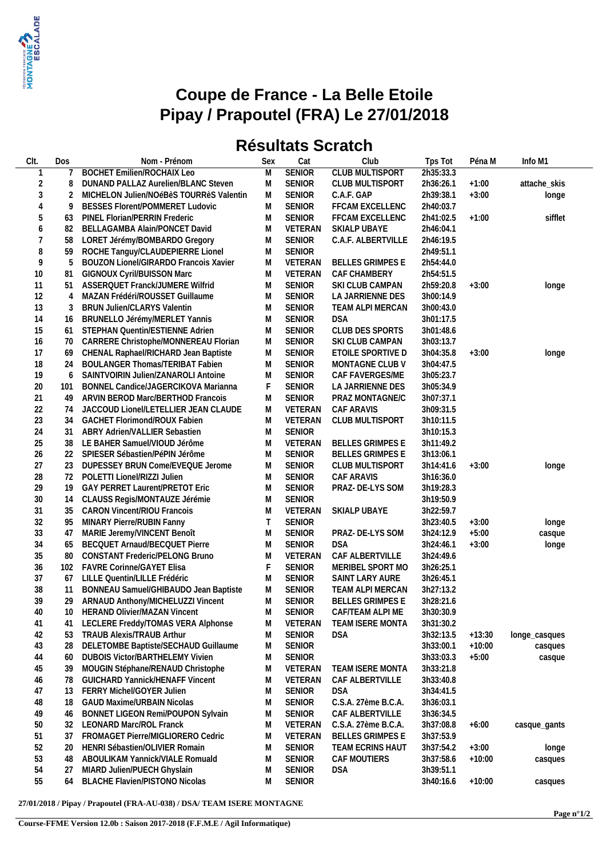

## **Coupe de France - La Belle Etoile Pipay / Prapoutel (FRA) Le 27/01/2018**

## **Résultats Scratch**

| CIt.           | Dos      | Nom - Prénom                            | Sex    | Cat           | Club                    | Tps Tot   | Péna M   | Info M1          |
|----------------|----------|-----------------------------------------|--------|---------------|-------------------------|-----------|----------|------------------|
| -1             |          | <b>BOCHET Emilien/ROCHAIX Leo</b>       | M      | <b>SENIOR</b> | <b>CLUB MULTISPORT</b>  | 2h35:33.3 |          |                  |
| 2              | 8        | DUNAND PALLAZ Aurelien/BLANC Steven     | М      | <b>SENIOR</b> | <b>CLUB MULTISPORT</b>  | 2h36:26.1 | $+1:00$  | attache_skis     |
| 3              | 2        | MICHELON Julien/NOéBèS TOURRèS Valentin | M      | <b>SENIOR</b> | C.A.F. GAP              | 2h39:38.1 | $+3:00$  | longe            |
| $\overline{4}$ | 9        | BESSES Florent/POMMERET Ludovic         | M      | <b>SENIOR</b> | FFCAM EXCELLENC         | 2h40:03.7 |          |                  |
| 5              | 63       | PINEL Florian/PERRIN Frederic           | M      | <b>SENIOR</b> | FFCAM EXCELLENC         | 2h41:02.5 | $+1:00$  | sifflet          |
| 6              | 82       | BELLAGAMBA Alain/PONCET David           | М      | VETERAN       | SKIALP UBAYE            | 2h46:04.1 |          |                  |
| 7              | 58       | LORET Jérémy/BOMBARDO Gregory           | M      | <b>SENIOR</b> | C.A.F. ALBERTVILLE      | 2h46:19.5 |          |                  |
| $\, 8$         | 59       | ROCHE Tanguy/CLAUDEPIERRE Lionel        | М      | SENIOR        |                         | 2h49:51.1 |          |                  |
| 9              | 5        | BOUZON Lionel/GIRARDO Francois Xavier   | M      | VETERAN       | <b>BELLES GRIMPES E</b> | 2h54:44.0 |          |                  |
| 10             | 81       | GIGNOUX Cyril/BUISSON Marc              | M      | VETERAN       | CAF CHAMBERY            | 2h54:51.5 |          |                  |
| 11             | 51       | ASSERQUET Franck/JUMERE Wilfrid         | M      | <b>SENIOR</b> | SKI CLUB CAMPAN         | 2h59:20.8 | $+3:00$  | longe            |
| 12             | 4        | MAZAN Frédéri/ROUSSET Guillaume         | M      | <b>SENIOR</b> | LA JARRIENNE DES        | 3h00:14.9 |          |                  |
| 13             | 3        | <b>BRUN Julien/CLARYS Valentin</b>      | M      | <b>SENIOR</b> | TEAM ALPI MERCAN        | 3h00:43.0 |          |                  |
| 14             | 16       | BRUNELLO Jérémy/MERLET Yannis           | М      | <b>SENIOR</b> | <b>DSA</b>              | 3h01:17.5 |          |                  |
| 15             | 61       | STEPHAN Quentin/ESTIENNE Adrien         | М      | <b>SENIOR</b> | CLUB DES SPORTS         | 3h01:48.6 |          |                  |
| 16             | 70       | CARRERE Christophe/MONNEREAU Florian    | М      | <b>SENIOR</b> | SKI CLUB CAMPAN         | 3h03:13.7 |          |                  |
| 17             | 69       | CHENAL Raphael/RICHARD Jean Baptiste    | M      | <b>SENIOR</b> | ETOILE SPORTIVE D       | 3h04:35.8 | $+3:00$  | longe            |
| 18             | 24       | <b>BOULANGER Thomas/TERIBAT Fabien</b>  | M      | <b>SENIOR</b> | MONTAGNE CLUB V         | 3h04:47.5 |          |                  |
| 19             | 6        | SAINTVOIRIN Julien/ZANAROLI Antoine     | M      | <b>SENIOR</b> | CAF FAVERGES/ME         | 3h05:23.7 |          |                  |
| 20             | 101      | BONNEL Candice/JAGERCIKOVA Marianna     | F      | <b>SENIOR</b> | LA JARRIENNE DES        | 3h05:34.9 |          |                  |
| 21             | 49       | ARVIN BEROD Marc/BERTHOD Francois       | М      | <b>SENIOR</b> | PRAZ MONTAGNE/C         | 3h07:37.1 |          |                  |
| 22             | 74       | JACCOUD Lionel/LETELLIER JEAN CLAUDE    | M      | VETERAN       | CAF ARAVIS              | 3h09:31.5 |          |                  |
| 23             | 34       | <b>GACHET Florimond/ROUX Fabien</b>     | M      | VETERAN       | CLUB MULTISPORT         | 3h10:11.5 |          |                  |
| 24             | 31       | ABRY Adrien/VALLIER Sebastien           | M      | <b>SENIOR</b> |                         | 3h10:15.3 |          |                  |
| 25             | 38       | LE BAHER Samuel/VIOUD Jérôme            | M      | VETERAN       | <b>BELLES GRIMPES E</b> | 3h11:49.2 |          |                  |
| 26             | 22       | SPIESER Sébastien/PéPIN Jérôme          | M      | <b>SENIOR</b> | <b>BELLES GRIMPES E</b> | 3h13:06.1 |          |                  |
| 27             | 23       | DUPESSEY BRUN Come/EVEQUE Jerome        | М      | <b>SENIOR</b> | <b>CLUB MULTISPORT</b>  | 3h14:41.6 | $+3:00$  | longe            |
| 28             | 72       | POLETTI Lionel/RIZZI Julien             | М      | <b>SENIOR</b> | CAF ARAVIS              | 3h16:36.0 |          |                  |
| 29             | 19       | GAY PERRET Laurent/PRETOT Eric          | M      | <b>SENIOR</b> | PRAZ-DE-LYS SOM         | 3h19:28.3 |          |                  |
| 30             | 14       | CLAUSS Regis/MONTAUZE Jérémie           | M      | <b>SENIOR</b> |                         | 3h19:50.9 |          |                  |
| 31             | 35       | <b>CARON Vincent/RIOU Francois</b>      | M      | VETERAN       | SKIALP UBAYE            | 3h22:59.7 |          |                  |
| 32             | 95       | MINARY Pierre/RUBIN Fanny               | Τ      | <b>SENIOR</b> |                         | 3h23:40.5 | $+3:00$  | longe            |
| 33             | 47       | MARIE Jeremy/VINCENT Benoît             | М      | <b>SENIOR</b> | PRAZ-DE-LYS SOM         | 3h24:12.9 | $+5:00$  | casque           |
| 34             | 65       | BECQUET Arnaud/BECQUET Pierre           | M      | <b>SENIOR</b> | <b>DSA</b>              | 3h24:46.1 | $+3:00$  | longe            |
| 35             | 80       | <b>CONSTANT Frederic/PELONG Bruno</b>   | M      | VETERAN       | CAF ALBERTVILLE         | 3h24:49.6 |          |                  |
| 36             | 102      | FAVRE Corinne/GAYET Elisa               |        | <b>SENIOR</b> | MERIBEL SPORT MO        | 3h26:25.1 |          |                  |
| 37             | 67       | LILLE Quentin/LILLE Frédéric            | M      | <b>SENIOR</b> | SAINT LARY AURE         | 3h26:45.1 |          |                  |
| 38             | 11       | BONNEAU Samuel/GHIBAUDO Jean Baptiste   | M      | <b>SENIOR</b> | TEAM ALPI MERCAN        | 3h27:13.2 |          |                  |
| 39             | 29       | ARNAUD Anthony/MICHELUZZI Vincent       | M      | <b>SENIOR</b> | <b>BELLES GRIMPES E</b> | 3h28:21.6 |          |                  |
| 40             |          | 10 HERAND Olivier/MAZAN Vincent         | Μ      | <b>SENIOR</b> | CAF/TEAM ALPI ME        | 3h30:30.9 |          |                  |
| 41             | 41       | LECLERE Freddy/TOMAS VERA Alphonse      | M      | VETERAN       | TEAM ISERE MONTA        | 3h31:30.2 |          |                  |
| 42             | 53       | <b>TRAUB Alexis/TRAUB Arthur</b>        | M      | <b>SENIOR</b> | <b>DSA</b>              | 3h32:13.5 | $+13:30$ | longe_casques    |
| 43             | 28       | DELETOMBE Baptiste/SECHAUD Guillaume    | M      | SENIOR        |                         | 3h33:00.1 | $+10:00$ | casques          |
| 44             | 60       | <b>DUBOIS Victor/BARTHELEMY Vivien</b>  | M      | SENIOR        |                         | 3h33:03.3 | $+5:00$  | casque           |
| 45             | 39       | MOUGIN Stéphane/RENAUD Christophe       | M      | VETERAN       | TEAM ISERE MONTA        | 3h33:21.8 |          |                  |
| 46             | 78       | GUICHARD Yannick/HENAFF Vincent         | M      | VETERAN       | CAF ALBERTVILLE         | 3h33:40.8 |          |                  |
| 47             | 13       | FERRY Michel/GOYER Julien               | M      | <b>SENIOR</b> | <b>DSA</b>              | 3h34:41.5 |          |                  |
| 48             | 18       | <b>GAUD Maxime/URBAIN Nicolas</b>       | M      | <b>SENIOR</b> | C.S.A. 27ème B.C.A.     | 3h36:03.1 |          |                  |
| 49             | 46       | BONNET LIGEON Remi/POUPON Sylvain       | M      | <b>SENIOR</b> | CAF ALBERTVILLE         | 3h36:34.5 |          |                  |
| 50             | 32       | LEONARD Marc/ROL Franck                 | M      | VETERAN       | C.S.A. 27ème B.C.A.     | 3h37:08.8 | $+6:00$  |                  |
|                |          | FROMAGET Pierre/MIGLIORERO Cedric       |        | VETERAN       | <b>BELLES GRIMPES E</b> | 3h37:53.9 |          | casque_gants     |
| 51<br>52       | 37<br>20 | HENRI Sébastien/OLIVIER Romain          | M<br>M | <b>SENIOR</b> | TEAM ECRINS HAUT        | 3h37:54.2 | $+3:00$  |                  |
| 53             | 48       | ABOULIKAM Yannick/VIALE Romuald         | M      | <b>SENIOR</b> | CAF MOUTIERS            | 3h37:58.6 | $+10:00$ | longe<br>casques |
| 54             | 27       | MIARD Julien/PUECH Ghyslain             | M      | <b>SENIOR</b> | <b>DSA</b>              | 3h39:51.1 |          |                  |
| 55             | 64       | <b>BLACHE Flavien/PISTONO Nicolas</b>   | M      | SENIOR        |                         | 3h40:16.6 | $+10:00$ | casques          |
|                |          |                                         |        |               |                         |           |          |                  |

**27/01/2018 / Pipay / Prapoutel (FRA-AU-038) / DSA/ TEAM ISERE MONTAGNE**